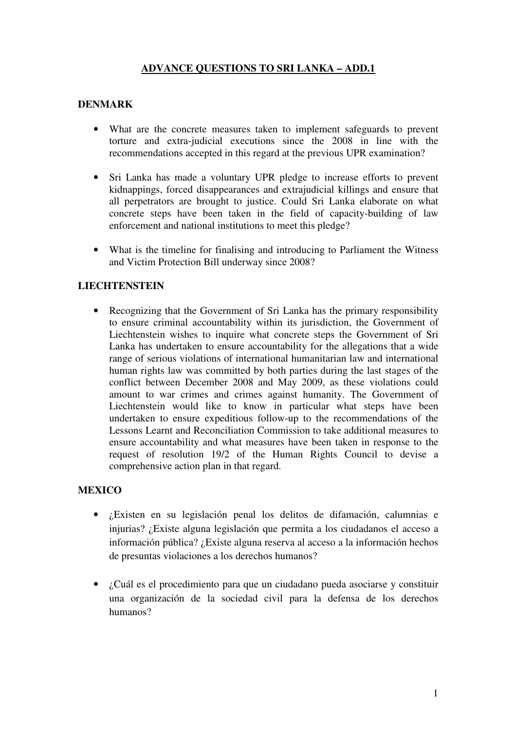## **ADVANCE QUESTIONS TO SRI LANKA – ADD.1**

## **DENMARK**

- What are the concrete measures taken to implement safeguards to prevent torture and extra-judicial executions since the 2008 in line with the recommendations accepted in this regard at the previous UPR examination?
- Sri Lanka has made a voluntary UPR pledge to increase efforts to prevent kidnappings, forced disappearances and extrajudicial killings and ensure that all perpetrators are brought to justice. Could Sri Lanka elaborate on what concrete steps have been taken in the field of capacity-building of law enforcement and national institutions to meet this pledge?
- What is the timeline for finalising and introducing to Parliament the Witness and Victim Protection Bill underway since 2008?

## **LIECHTENSTEIN**

• Recognizing that the Government of Sri Lanka has the primary responsibility to ensure criminal accountability within its jurisdiction, the Government of Liechtenstein wishes to inquire what concrete steps the Government of Sri Lanka has undertaken to ensure accountability for the allegations that a wide range of serious violations of international humanitarian law and international human rights law was committed by both parties during the last stages of the conflict between December 2008 and May 2009, as these violations could amount to war crimes and crimes against humanity. The Government of Liechtenstein would like to know in particular what steps have been undertaken to ensure expeditious follow-up to the recommendations of the Lessons Learnt and Reconciliation Commission to take additional measures to ensure accountability and what measures have been taken in response to the request of resolution 19/2 of the Human Rights Council to devise a comprehensive action plan in that regard.

## **MEXICO**

- ¿Existen en su legislación penal los delitos de difamación, calumnias e injurias? ¿Existe alguna legislación que permita a los ciudadanos el acceso a información pública? ¿Existe alguna reserva al acceso a la información hechos de presuntas violaciones a los derechos humanos?
- ¿Cuál es el procedimiento para que un ciudadano pueda asociarse y constituir una organización de la sociedad civil para la defensa de los derechos humanos?